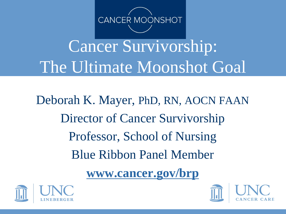

# Cancer Survivorship: The Ultimate Moonshot Goal

Deborah K. Mayer, PhD, RN, AOCN FAAN Director of Cancer Survivorship Professor, School of Nursing Blue Ribbon Panel Member

**www.cancer.gov/brp**



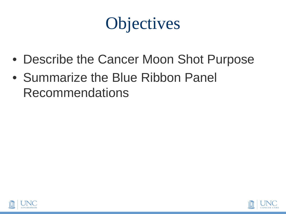## **Objectives**

- Describe the Cancer Moon Shot Purpose
- Summarize the Blue Ribbon Panel Recommendations



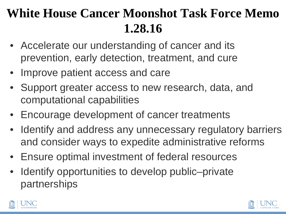### **White House Cancer Moonshot Task Force Memo 1.28.16**

- Accelerate our understanding of cancer and its prevention, early detection, treatment, and cure
- Improve patient access and care
- Support greater access to new research, data, and computational capabilities
- Encourage development of cancer treatments
- Identify and address any unnecessary regulatory barriers and consider ways to expedite administrative reforms
- Ensure optimal investment of federal resources
- Identify opportunities to develop public–private partnerships



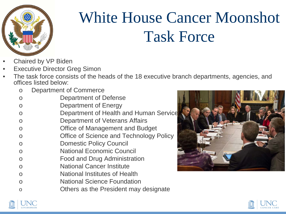

## White House Cancer Moonshot Task Force

- Chaired by VP Biden
- **Executive Director Greg Simon**
- The task force consists of the heads of the 18 executive branch departments, agencies, and offices listed below:
	- o Department of Commerce
	- o Department of Defense
	- o Department of Energy
	- o **Department of Health and Human Service**
	- o Department of Veterans Affairs
	- o Office of Management and Budget
	- o Office of Science and Technology Policy
	- o Domestic Policy Council
	- o National Economic Council
	- o Food and Drug Administration
	- o National Cancer Institute
	- o National Institutes of Health
	- o National Science Foundation
	- o Others as the President may designate





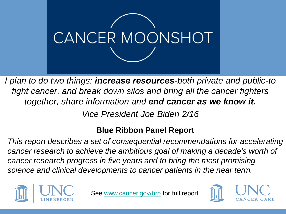

*I plan to do two things: increase resources-both private and public-to fight cancer, and break down silos and bring all the cancer fighters together, share information and end cancer as we know it.*

*Vice President Joe Biden 2/16*

### **Blue Ribbon Panel Report**

*This report describes a set of consequential recommendations for accelerating cancer research to achieve the ambitious goal of making a decade's worth of cancer research progress in five years and to bring the most promising science and clinical developments to cancer patients in the near term.* 



See [www.cancer.gov/brp](http://www.cancer.gov/brp) for full report

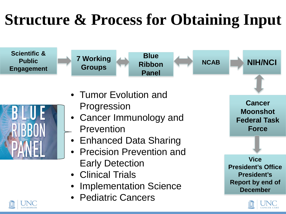# **Structure & Process for Obtaining Input**





- Tumor Evolution and Progression
- Cancer Immunology and Prevention
- Enhanced Data Sharing
- Precision Prevention and Early Detection
- Clinical Trials
- **Implementation Science**
- Pediatric Cancers

**Cancer Moonshot Federal Task Force**

**Vice President's Office President's Report by end of December** 



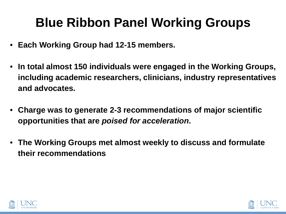### **Blue Ribbon Panel Working Groups**

- **Each Working Group had 12-15 members.**
- **In total almost 150 individuals were engaged in the Working Groups, including academic researchers, clinicians, industry representatives and advocates.**
- **Charge was to generate 2-3 recommendations of major scientific opportunities that are** *poised for acceleration***.**
- **The Working Groups met almost weekly to discuss and formulate their recommendations**



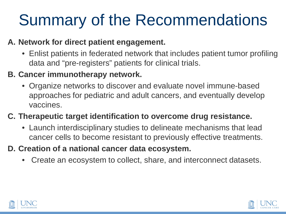# Summary of the Recommendations

### **A. Network for direct patient engagement.**

• Enlist patients in federated network that includes patient tumor profiling data and "pre-registers" patients for clinical trials.

#### **B. Cancer immunotherapy network.**

• Organize networks to discover and evaluate novel immune-based approaches for pediatric and adult cancers, and eventually develop vaccines.

### **C. Therapeutic target identification to overcome drug resistance.**

- Launch interdisciplinary studies to delineate mechanisms that lead cancer cells to become resistant to previously effective treatments.
- **D. Creation of a national cancer data ecosystem.**
	- Create an ecosystem to collect, share, and interconnect datasets.



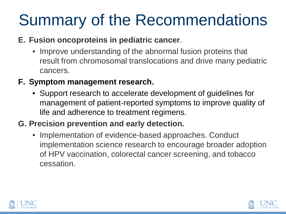## Summary of the Recommendations

### **E. Fusion oncoproteins in pediatric cancer**.

• Improve understanding of the abnormal fusion proteins that result from chromosomal translocations and drive many pediatric cancers.

### **F. Symptom management research.**

• Support research to accelerate development of guidelines for management of patient-reported symptoms to improve quality of life and adherence to treatment regimens.

### **G. Precision prevention and early detection.**

• Implementation of evidence-based approaches. Conduct implementation science research to encourage broader adoption of HPV vaccination, colorectal cancer screening, and tobacco cessation.



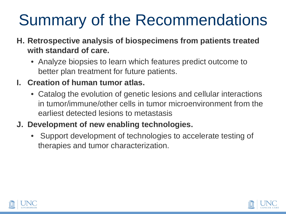# Summary of the Recommendations

- **H. Retrospective analysis of biospecimens from patients treated with standard of care.**
	- Analyze biopsies to learn which features predict outcome to better plan treatment for future patients.

### **I. Creation of human tumor atlas.**

• Catalog the evolution of genetic lesions and cellular interactions in tumor/immune/other cells in tumor microenvironment from the earliest detected lesions to metastasis

### **J. Development of new enabling technologies.**

• Support development of technologies to accelerate testing of therapies and tumor characterization.



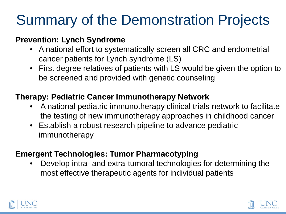## Summary of the Demonstration Projects

### **Prevention: Lynch Syndrome**

- A national effort to systematically screen all CRC and endometrial cancer patients for Lynch syndrome (LS)
- First degree relatives of patients with LS would be given the option to be screened and provided with genetic counseling

### **Therapy: Pediatric Cancer Immunotherapy Network**

- A national pediatric immunotherapy clinical trials network to facilitate the testing of new immunotherapy approaches in childhood cancer
- Establish a robust research pipeline to advance pediatric immunotherapy

### **Emergent Technologies: Tumor Pharmacotyping**

• Develop intra- and extra-tumoral technologies for determining the most effective therapeutic agents for individual patients



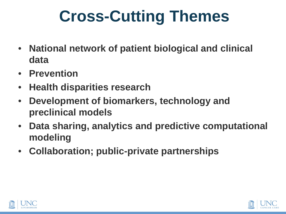# **Cross-Cutting Themes**

- **National network of patient biological and clinical data**
- **Prevention**
- **Health disparities research**
- **Development of biomarkers, technology and preclinical models**
- **Data sharing, analytics and predictive computational modeling**
- **Collaboration; public-private partnerships**



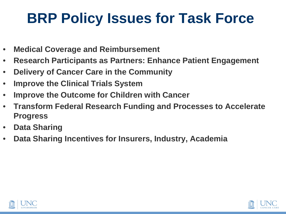### **BRP Policy Issues for Task Force**

- **Medical Coverage and Reimbursement**
- **Research Participants as Partners: Enhance Patient Engagement**
- **Delivery of Cancer Care in the Community**
- **Improve the Clinical Trials System**
- **Improve the Outcome for Children with Cancer**
- **Transform Federal Research Funding and Processes to Accelerate Progress**
- **Data Sharing**
- **Data Sharing Incentives for Insurers, Industry, Academia**



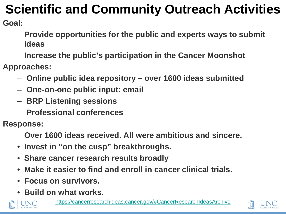## **Scientific and Community Outreach Activities**

**Goal:**

- **Provide opportunities for the public and experts ways to submit ideas**
- **Increase the public's participation in the Cancer Moonshot**
- **Approaches:**
	- **Online public idea repository – over 1600 ideas submitted**
	- **One-on-one public input: email**
	- **BRP Listening sessions**
	- **Professional conferences**

**Response:**

- **Over 1600 ideas received. All were ambitious and sincere.**
- **Invest in "on the cusp" breakthroughs.**
- **Share cancer research results broadly**
- **Make it easier to find and enroll in cancer clinical trials.**
- **Focus on survivors.**
- **Build on what works.**



<https://cancerresearchideas.cancer.gov/#CancerResearchIdeasArchive>

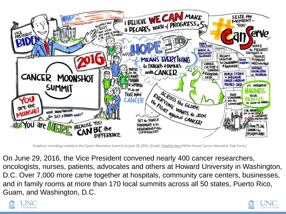

Graphical recording created at the Cancer Moonshot Summit on June 29, 2016. (Credit: StephScribes/White House Cancer Moonshot Task Force.)

On June 29, 2016, the Vice President convened nearly 400 cancer researchers, oncologists, nurses, patients, advocates and others at Howard University in Washington, D.C. Over 7,000 more came together at hospitals, community care centers, businesses, and in family rooms at more than 170 local summits across all 50 states, Puerto Rico, Guam, and Washington, D.C.



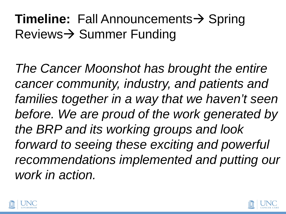### **Timeline:** Fall Announcements  $\rightarrow$  Spring  $Reviews \rightarrow Summer$  Funding

*The Cancer Moonshot has brought the entire cancer community, industry, and patients and*  families together in a way that we haven't seen *before. We are proud of the work generated by the BRP and its working groups and look forward to seeing these exciting and powerful recommendations implemented and putting our work in action.*



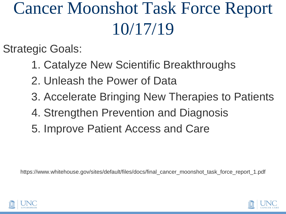# Cancer Moonshot Task Force Report 10/17/19

Strategic Goals:

- 1. Catalyze New Scientific Breakthroughs
- 2. Unleash the Power of Data
- 3. Accelerate Bringing New Therapies to Patients
- 4. Strengthen Prevention and Diagnosis
- 5. Improve Patient Access and Care

https://www.whitehouse.gov/sites/default/files/docs/final\_cancer\_moonshot\_task\_force\_report\_1.pdf



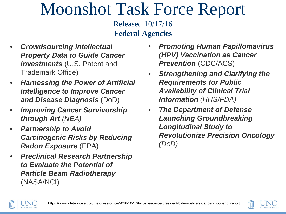Released 10/17/16 **Federal Agencies**

- *Crowdsourcing Intellectual Property Data to Guide Cancer Investments* (U.S. Patent and Trademark Office)
- *Harnessing the Power of Artificial Intelligence to Improve Cancer and Disease Diagnosis* (DoD)
- *Improving Cancer Survivorship through Art (NEA)*
- *Partnership to Avoid Carcinogenic Risks by Reducing Radon Exposure* (EPA)
- *Preclinical Research Partnership to Evaluate the Potential of Particle Beam Radiotherapy* (NASA/NCI)
- *Promoting Human Papillomavirus (HPV) Vaccination as Cancer Prevention* (CDC/ACS)
- *Strengthening and Clarifying the Requirements for Public Availability of Clinical Trial Information (HHS/FDA)*
- *The Department of Defense Launching Groundbreaking Longitudinal Study to Revolutionize Precision Oncology (DoD)*



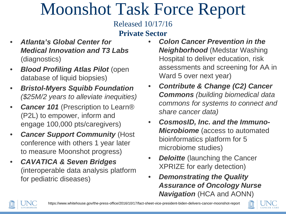Released 10/17/16

#### **Private Sector**

- *Atlanta's Global Center for Medical Innovation and T3 Labs*  (diagnostics)
- *Blood Profiling Atlas Pilot* (open database of liquid biopsies)
- *Bristol-Myers Squibb Foundation (\$25M/2 years to alleviate inequities)*
- *Cancer 101* (Prescription to Learn<sup>®</sup> (P2L) to empower, inform and engage 100,000 pts/caregivers)
- *Cancer Support Community* (Host conference with others 1 year later to measure Moonshot progress)
- *CAVATICA & Seven Bridges*  (interoperable data analysis platform for pediatric diseases)
- *Colon Cancer Prevention in the Neighborhood* (Medstar Washing Hospital to deliver education, risk assessments and screening for AA in Ward 5 over next year)
- *Contribute & Change (C2) Cancer Commons (building biomedical data commons for systems to connect and share cancer data)*
- *CosmosID, Inc. and the Immuno-***Microbiome** (access to automated bioinformatics platform for 5 microbiome studies)
- *Deloitte* (launching the Cancer XPRIZE for early detection)
- *Demonstrating the Quality Assurance of Oncology Nurse*  **Navigation** (HCA and AONN)



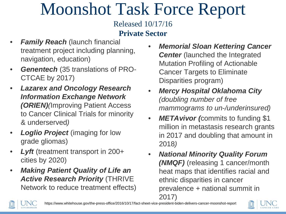#### Released 10/17/16 **Private Sector**

- **Family Reach** (launch financial treatment project including planning, navigation, education)
- *Genentech* (35 translations of PRO-CTCAE by 2017)
- *Lazarex and Oncology Research Information Exchange Network (ORIEN)(*Improving Patient Access to Cancer Clinical Trials for minority & underserved*)*
- *Loglio Project* (imaging for low grade gliomas)
- **Lyft** (treatment transport in 200+ cities by 2020)
- *Making Patient Quality of Life an Active Research Priority* (THRIVE Network to reduce treatment effects)
- *Memorial Sloan Kettering Cancer Center* (launched the Integrated Mutation Profiling of Actionable Cancer Targets to Eliminate Disparities program)
- *Mercy Hospital Oklahoma City (doubling number of free mammograms to un-/underinsured)*
- *METAvivor (*commits to funding \$1 million in metastasis research grants in 2017 and doubling that amount in 2018*)*
- *National Minority Quality Forum (NMQF)* (releasing 1 cancer/month heat maps that identifies racial and ethnic disparities in cancer prevalence + national summit in 2017)



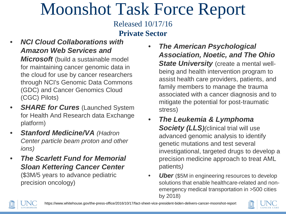Released 10/17/16 **Private Sector**

- *NCI Cloud Collaborations with Amazon Web Services and Microsoft* (build a sustainable model for maintaining cancer genomic data in the cloud for use by cancer researchers through NCI's Genomic Data Commons (GDC) and Cancer Genomics Cloud (CGC) Pilots)
- **SHARE for Cures** (Launched System for Health And Research data Exchange platform)
- *Stanford Medicine/VA (Hadron Center particle beam proton and other ions)*
- *The Scarlett Fund for Memorial Sloan Kettering Cancer Center*  (\$3M/5 years to advance pediatric precision oncology)
- *The American Psychological Association, Noetic, and The Ohio State University* (create a mental wellbeing and health intervention program to assist health care providers, patients, and family members to manage the trauma associated with a cancer diagnosis and to mitigate the potential for post-traumatic stress)
- *The Leukemia & Lymphoma*  **Society (LLS)***(clinical trial will use* advanced genomic analysis to identify genetic mutations and test several investigational, targeted drugs to develop a precision medicine approach to treat AML patients*)*
- **Uber** (\$5M in engineering resources to develop solutions that enable healthcare-related and nonemergency medical transportation in >500 cities by 2018)